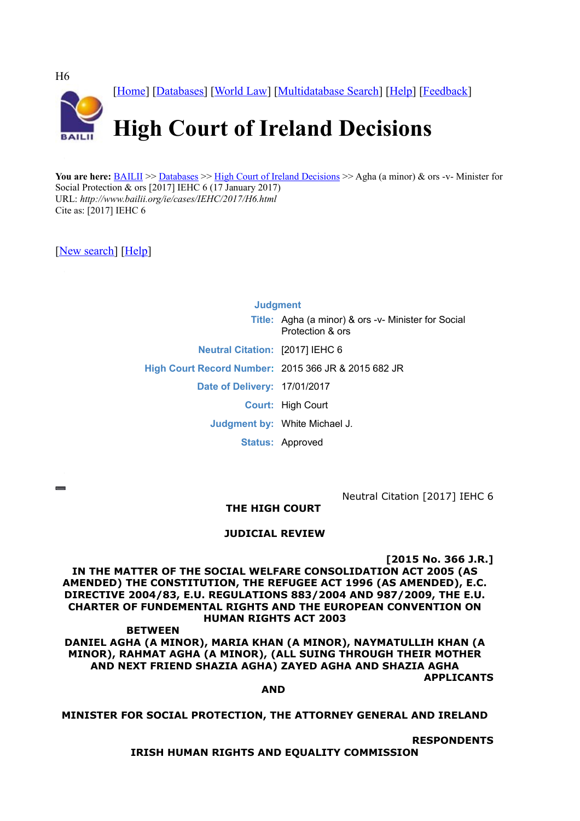

You are here: [BAILII](http://www.bailii.org/) >> [Databases](http://www.bailii.org/databases.html) >> [High Court of Ireland Decisions](http://www.bailii.org/ie/cases/IEHC/) >> Agha (a minor) & ors -v- Minister for Social Protection & ors [2017] IEHC 6 (17 January 2017) URL: *http://www.bailii.org/ie/cases/IEHC/2017/H6.html* Cite as: [2017] IEHC 6

[\[New search\]](http://www.bailii.org/form/search_cases.html) [\[Help\]](http://www.bailii.org/bailii/help/)

**Judgment Title:** Agha (a minor) & ors -v- Minister for Social Protection & ors **Neutral Citation:** [2017] IEHC 6 **High Court Record Number:** 2015 366 JR & 2015 682 JR **Date of Delivery:** 17/01/2017 **Court:** High Court **Judgment by:** White Michael J. **Status:** Approved

Neutral Citation [2017] IEHC 6

**THE HIGH COURT**

# **JUDICIAL REVIEW**

**[2015 No. 366 J.R.]**

**IN THE MATTER OF THE SOCIAL WELFARE CONSOLIDATION ACT 2005 (AS AMENDED) THE CONSTITUTION, THE REFUGEE ACT 1996 (AS AMENDED), E.C. DIRECTIVE 2004/83, E.U. REGULATIONS 883/2004 AND 987/2009, THE E.U. CHARTER OF FUNDEMENTAL RIGHTS AND THE EUROPEAN CONVENTION ON HUMAN RIGHTS ACT 2003**

**BETWEEN DANIEL AGHA (A MINOR), MARIA KHAN (A MINOR), NAYMATULLIH KHAN (A MINOR), RAHMAT AGHA (A MINOR), (ALL SUING THROUGH THEIR MOTHER AND NEXT FRIEND SHAZIA AGHA) ZAYED AGHA AND SHAZIA AGHA APPLICANTS**

**AND**

**MINISTER FOR SOCIAL PROTECTION, THE ATTORNEY GENERAL AND IRELAND**

**RESPONDENTS**

**IRISH HUMAN RIGHTS AND EQUALITY COMMISSION**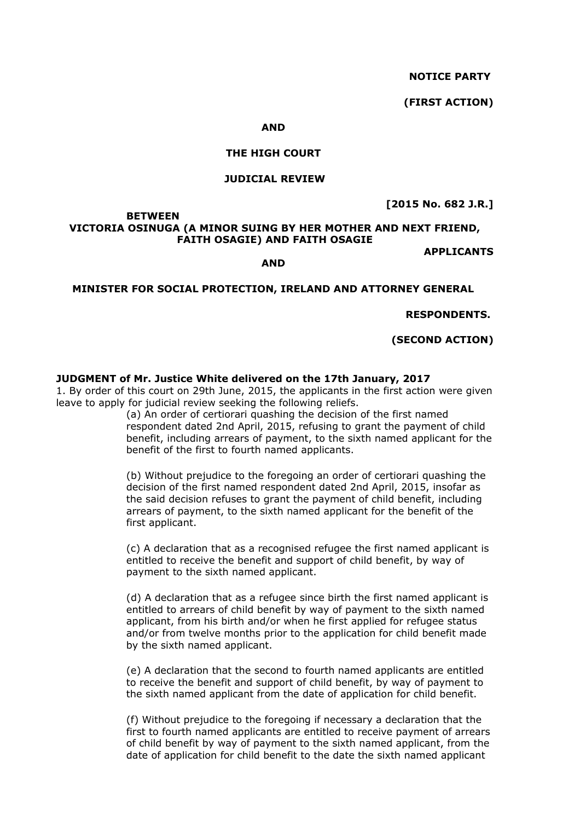**NOTICE PARTY**

**(FIRST ACTION)**

#### **AND**

#### **THE HIGH COURT**

#### **JUDICIAL REVIEW**

**[2015 No. 682 J.R.]**

### **BETWEEN VICTORIA OSINUGA (A MINOR SUING BY HER MOTHER AND NEXT FRIEND, FAITH OSAGIE) AND FAITH OSAGIE**

**APPLICANTS**

#### **MINISTER FOR SOCIAL PROTECTION, IRELAND AND ATTORNEY GENERAL**

**AND**

**RESPONDENTS.**

**(SECOND ACTION)**

# **JUDGMENT of Mr. Justice White delivered on the 17th January, 2017**

1. By order of this court on 29th June, 2015, the applicants in the first action were given leave to apply for judicial review seeking the following reliefs.

> (a) An order of certiorari quashing the decision of the first named respondent dated 2nd April, 2015, refusing to grant the payment of child benefit, including arrears of payment, to the sixth named applicant for the benefit of the first to fourth named applicants.

(b) Without prejudice to the foregoing an order of certiorari quashing the decision of the first named respondent dated 2nd April, 2015, insofar as the said decision refuses to grant the payment of child benefit, including arrears of payment, to the sixth named applicant for the benefit of the first applicant.

(c) A declaration that as a recognised refugee the first named applicant is entitled to receive the benefit and support of child benefit, by way of payment to the sixth named applicant.

(d) A declaration that as a refugee since birth the first named applicant is entitled to arrears of child benefit by way of payment to the sixth named applicant, from his birth and/or when he first applied for refugee status and/or from twelve months prior to the application for child benefit made by the sixth named applicant.

(e) A declaration that the second to fourth named applicants are entitled to receive the benefit and support of child benefit, by way of payment to the sixth named applicant from the date of application for child benefit.

(f) Without prejudice to the foregoing if necessary a declaration that the first to fourth named applicants are entitled to receive payment of arrears of child benefit by way of payment to the sixth named applicant, from the date of application for child benefit to the date the sixth named applicant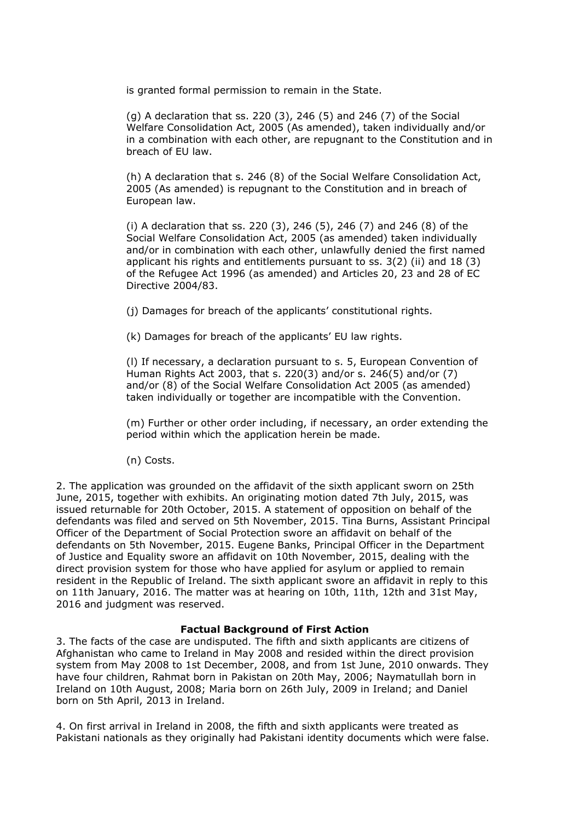is granted formal permission to remain in the State.

(g) A declaration that ss. 220 (3), 246 (5) and 246 (7) of the Social Welfare Consolidation Act, 2005 (As amended), taken individually and/or in a combination with each other, are repugnant to the Constitution and in breach of EU law.

(h) A declaration that s. 246 (8) of the Social Welfare Consolidation Act, 2005 (As amended) is repugnant to the Constitution and in breach of European law.

(i) A declaration that ss. 220 (3), 246 (5), 246 (7) and 246 (8) of the Social Welfare Consolidation Act, 2005 (as amended) taken individually and/or in combination with each other, unlawfully denied the first named applicant his rights and entitlements pursuant to ss. 3(2) (ii) and 18 (3) of the Refugee Act 1996 (as amended) and Articles 20, 23 and 28 of EC Directive 2004/83.

(j) Damages for breach of the applicants' constitutional rights.

(k) Damages for breach of the applicants' EU law rights.

(l) If necessary, a declaration pursuant to s. 5, European Convention of Human Rights Act 2003, that s. 220(3) and/or s. 246(5) and/or (7) and/or (8) of the Social Welfare Consolidation Act 2005 (as amended) taken individually or together are incompatible with the Convention.

(m) Further or other order including, if necessary, an order extending the period within which the application herein be made.

(n) Costs.

2. The application was grounded on the affidavit of the sixth applicant sworn on 25th June, 2015, together with exhibits. An originating motion dated 7th July, 2015, was issued returnable for 20th October, 2015. A statement of opposition on behalf of the defendants was filed and served on 5th November, 2015. Tina Burns, Assistant Principal Officer of the Department of Social Protection swore an affidavit on behalf of the defendants on 5th November, 2015. Eugene Banks, Principal Officer in the Department of Justice and Equality swore an affidavit on 10th November, 2015, dealing with the direct provision system for those who have applied for asylum or applied to remain resident in the Republic of Ireland. The sixth applicant swore an affidavit in reply to this on 11th January, 2016. The matter was at hearing on 10th, 11th, 12th and 31st May, 2016 and judgment was reserved.

#### **Factual Background of First Action**

3. The facts of the case are undisputed. The fifth and sixth applicants are citizens of Afghanistan who came to Ireland in May 2008 and resided within the direct provision system from May 2008 to 1st December, 2008, and from 1st June, 2010 onwards. They have four children, Rahmat born in Pakistan on 20th May, 2006; Naymatullah born in Ireland on 10th August, 2008; Maria born on 26th July, 2009 in Ireland; and Daniel born on 5th April, 2013 in Ireland.

4. On first arrival in Ireland in 2008, the fifth and sixth applicants were treated as Pakistani nationals as they originally had Pakistani identity documents which were false.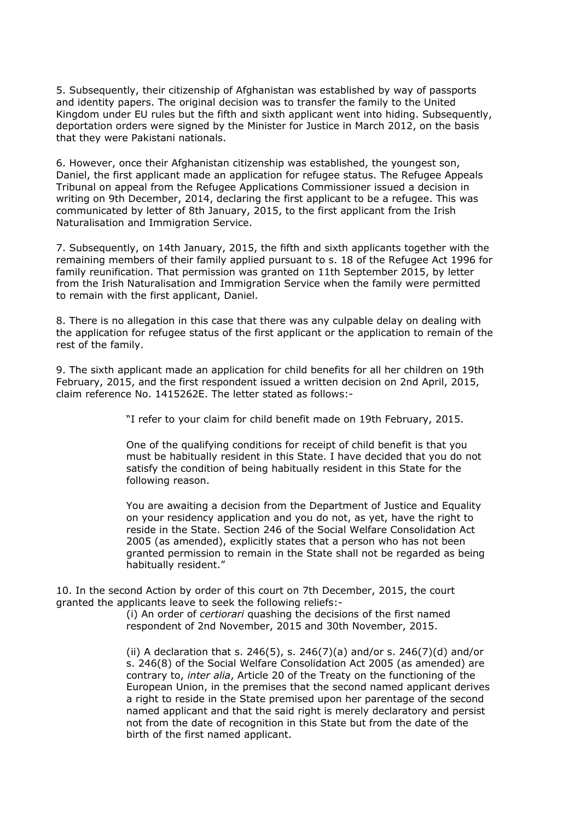5. Subsequently, their citizenship of Afghanistan was established by way of passports and identity papers. The original decision was to transfer the family to the United Kingdom under EU rules but the fifth and sixth applicant went into hiding. Subsequently, deportation orders were signed by the Minister for Justice in March 2012, on the basis that they were Pakistani nationals.

6. However, once their Afghanistan citizenship was established, the youngest son, Daniel, the first applicant made an application for refugee status. The Refugee Appeals Tribunal on appeal from the Refugee Applications Commissioner issued a decision in writing on 9th December, 2014, declaring the first applicant to be a refugee. This was communicated by letter of 8th January, 2015, to the first applicant from the Irish Naturalisation and Immigration Service.

7. Subsequently, on 14th January, 2015, the fifth and sixth applicants together with the remaining members of their family applied pursuant to s. 18 of the Refugee Act 1996 for family reunification. That permission was granted on 11th September 2015, by letter from the Irish Naturalisation and Immigration Service when the family were permitted to remain with the first applicant, Daniel.

8. There is no allegation in this case that there was any culpable delay on dealing with the application for refugee status of the first applicant or the application to remain of the rest of the family.

9. The sixth applicant made an application for child benefits for all her children on 19th February, 2015, and the first respondent issued a written decision on 2nd April, 2015, claim reference No. 1415262E. The letter stated as follows:-

"I refer to your claim for child benefit made on 19th February, 2015.

One of the qualifying conditions for receipt of child benefit is that you must be habitually resident in this State. I have decided that you do not satisfy the condition of being habitually resident in this State for the following reason.

You are awaiting a decision from the Department of Justice and Equality on your residency application and you do not, as yet, have the right to reside in the State. Section 246 of the Social Welfare Consolidation Act 2005 (as amended), explicitly states that a person who has not been granted permission to remain in the State shall not be regarded as being habitually resident."

10. In the second Action by order of this court on 7th December, 2015, the court granted the applicants leave to seek the following reliefs:-

(i) An order of *certiorari* quashing the decisions of the first named respondent of 2nd November, 2015 and 30th November, 2015.

(ii) A declaration that s. 246(5), s. 246(7)(a) and/or s. 246(7)(d) and/or s. 246(8) of the Social Welfare Consolidation Act 2005 (as amended) are contrary to, *inter alia*, Article 20 of the Treaty on the functioning of the European Union, in the premises that the second named applicant derives a right to reside in the State premised upon her parentage of the second named applicant and that the said right is merely declaratory and persist not from the date of recognition in this State but from the date of the birth of the first named applicant.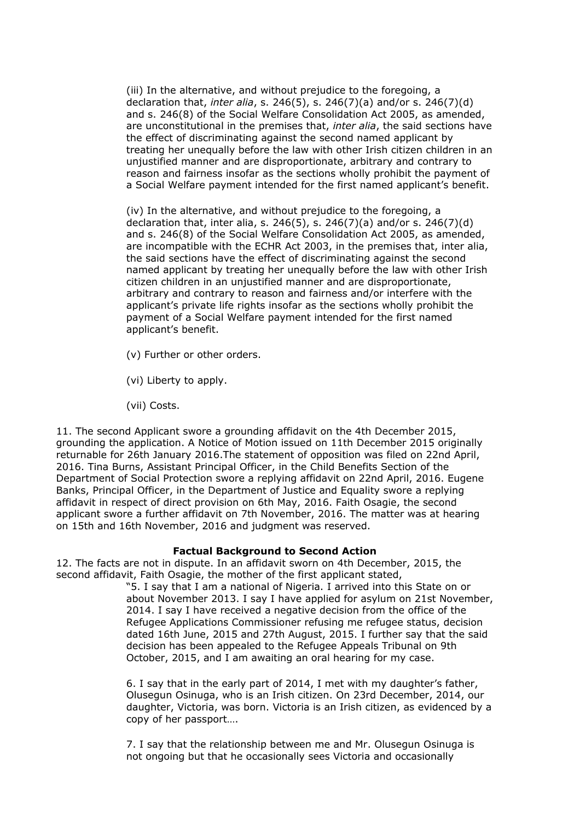(iii) In the alternative, and without prejudice to the foregoing, a declaration that, *inter alia*, s. 246(5), s. 246(7)(a) and/or s. 246(7)(d) and s. 246(8) of the Social Welfare Consolidation Act 2005, as amended, are unconstitutional in the premises that, *inter alia*, the said sections have the effect of discriminating against the second named applicant by treating her unequally before the law with other Irish citizen children in an unjustified manner and are disproportionate, arbitrary and contrary to reason and fairness insofar as the sections wholly prohibit the payment of a Social Welfare payment intended for the first named applicant's benefit.

(iv) In the alternative, and without prejudice to the foregoing, a declaration that, inter alia, s. 246(5), s. 246(7)(a) and/or s. 246(7)(d) and s. 246(8) of the Social Welfare Consolidation Act 2005, as amended, are incompatible with the ECHR Act 2003, in the premises that, inter alia, the said sections have the effect of discriminating against the second named applicant by treating her unequally before the law with other Irish citizen children in an unjustified manner and are disproportionate, arbitrary and contrary to reason and fairness and/or interfere with the applicant's private life rights insofar as the sections wholly prohibit the payment of a Social Welfare payment intended for the first named applicant's benefit.

- (v) Further or other orders.
- (vi) Liberty to apply.
- (vii) Costs.

11. The second Applicant swore a grounding affidavit on the 4th December 2015, grounding the application. A Notice of Motion issued on 11th December 2015 originally returnable for 26th January 2016.The statement of opposition was filed on 22nd April, 2016. Tina Burns, Assistant Principal Officer, in the Child Benefits Section of the Department of Social Protection swore a replying affidavit on 22nd April, 2016. Eugene Banks, Principal Officer, in the Department of Justice and Equality swore a replying affidavit in respect of direct provision on 6th May, 2016. Faith Osagie, the second applicant swore a further affidavit on 7th November, 2016. The matter was at hearing on 15th and 16th November, 2016 and judgment was reserved.

# **Factual Background to Second Action**

12. The facts are not in dispute. In an affidavit sworn on 4th December, 2015, the second affidavit, Faith Osagie, the mother of the first applicant stated,

> "5. I say that I am a national of Nigeria. I arrived into this State on or about November 2013. I say I have applied for asylum on 21st November, 2014. I say I have received a negative decision from the office of the Refugee Applications Commissioner refusing me refugee status, decision dated 16th June, 2015 and 27th August, 2015. I further say that the said decision has been appealed to the Refugee Appeals Tribunal on 9th October, 2015, and I am awaiting an oral hearing for my case.

> 6. I say that in the early part of 2014, I met with my daughter's father, Olusegun Osinuga, who is an Irish citizen. On 23rd December, 2014, our daughter, Victoria, was born. Victoria is an Irish citizen, as evidenced by a copy of her passport….

7. I say that the relationship between me and Mr. Olusegun Osinuga is not ongoing but that he occasionally sees Victoria and occasionally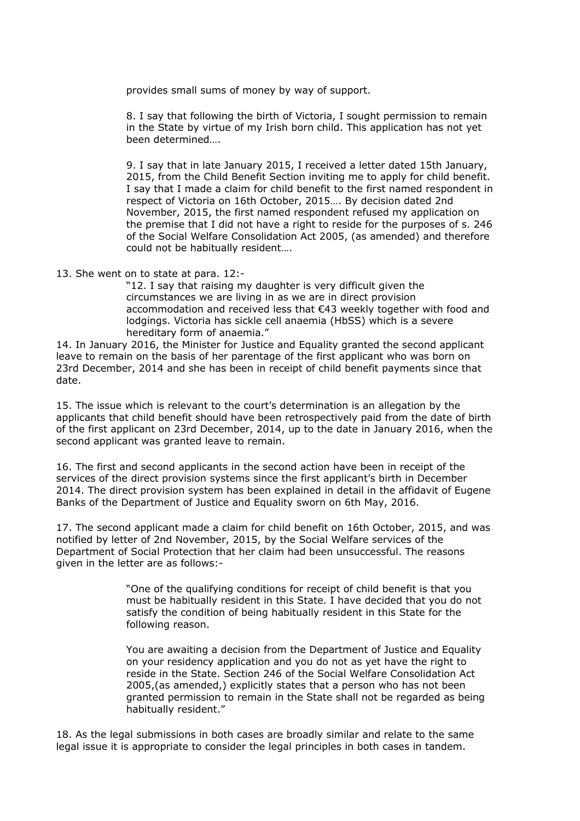provides small sums of money by way of support.

8. I say that following the birth of Victoria, I sought permission to remain in the State by virtue of my Irish born child. This application has not yet been determined….

9. I say that in late January 2015, I received a letter dated 15th January, 2015, from the Child Benefit Section inviting me to apply for child benefit. I say that I made a claim for child benefit to the first named respondent in respect of Victoria on 16th October, 2015…. By decision dated 2nd November, 2015, the first named respondent refused my application on the premise that I did not have a right to reside for the purposes of s. 246 of the Social Welfare Consolidation Act 2005, (as amended) and therefore could not be habitually resident….

13. She went on to state at para. 12:-

"12. I say that raising my daughter is very difficult given the circumstances we are living in as we are in direct provision accommodation and received less that €43 weekly together with food and lodgings. Victoria has sickle cell anaemia (HbSS) which is a severe hereditary form of anaemia."

14. In January 2016, the Minister for Justice and Equality granted the second applicant leave to remain on the basis of her parentage of the first applicant who was born on 23rd December, 2014 and she has been in receipt of child benefit payments since that date.

15. The issue which is relevant to the court's determination is an allegation by the applicants that child benefit should have been retrospectively paid from the date of birth of the first applicant on 23rd December, 2014, up to the date in January 2016, when the second applicant was granted leave to remain.

16. The first and second applicants in the second action have been in receipt of the services of the direct provision systems since the first applicant's birth in December 2014. The direct provision system has been explained in detail in the affidavit of Eugene Banks of the Department of Justice and Equality sworn on 6th May, 2016.

17. The second applicant made a claim for child benefit on 16th October, 2015, and was notified by letter of 2nd November, 2015, by the Social Welfare services of the Department of Social Protection that her claim had been unsuccessful. The reasons given in the letter are as follows:-

> "One of the qualifying conditions for receipt of child benefit is that you must be habitually resident in this State. I have decided that you do not satisfy the condition of being habitually resident in this State for the following reason.

> You are awaiting a decision from the Department of Justice and Equality on your residency application and you do not as yet have the right to reside in the State. Section 246 of the Social Welfare Consolidation Act 2005,(as amended,) explicitly states that a person who has not been granted permission to remain in the State shall not be regarded as being habitually resident."

18. As the legal submissions in both cases are broadly similar and relate to the same legal issue it is appropriate to consider the legal principles in both cases in tandem.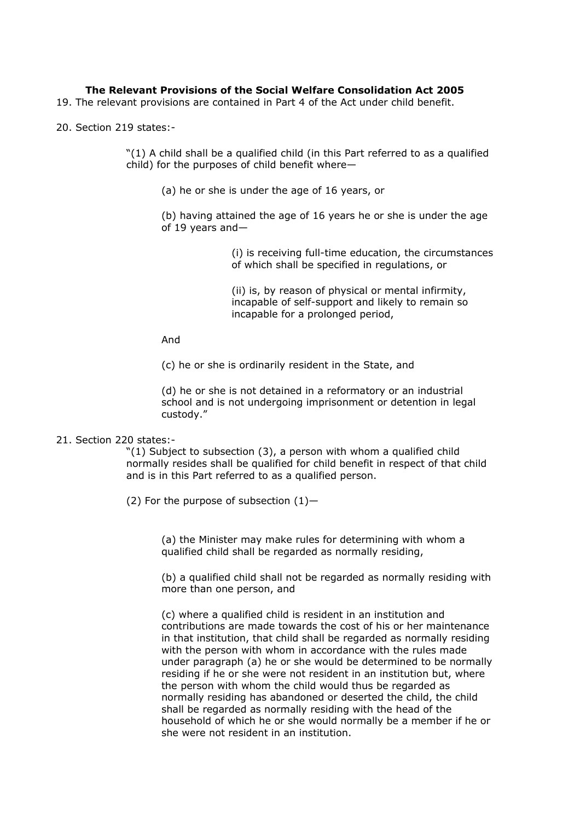# **The Relevant Provisions of the Social Welfare Consolidation Act 2005**

- 19. The relevant provisions are contained in Part 4 of the Act under child benefit.
- 20. Section 219 states:-

"(1) A child shall be a qualified child (in this Part referred to as a qualified child) for the purposes of child benefit where—

(a) he or she is under the age of 16 years, or

(b) having attained the age of 16 years he or she is under the age of 19 years and—

> (i) is receiving full-time education, the circumstances of which shall be specified in regulations, or

(ii) is, by reason of physical or mental infirmity, incapable of self-support and likely to remain so incapable for a prolonged period,

And

(c) he or she is ordinarily resident in the State, and

(d) he or she is not detained in a reformatory or an industrial school and is not undergoing imprisonment or detention in legal custody."

#### 21. Section 220 states:-

"(1) Subject to subsection (3), a person with whom a qualified child normally resides shall be qualified for child benefit in respect of that child and is in this Part referred to as a qualified person.

(2) For the purpose of subsection  $(1)$ -

(a) the Minister may make rules for determining with whom a qualified child shall be regarded as normally residing,

(b) a qualified child shall not be regarded as normally residing with more than one person, and

(c) where a qualified child is resident in an institution and contributions are made towards the cost of his or her maintenance in that institution, that child shall be regarded as normally residing with the person with whom in accordance with the rules made under paragraph (a) he or she would be determined to be normally residing if he or she were not resident in an institution but, where the person with whom the child would thus be regarded as normally residing has abandoned or deserted the child, the child shall be regarded as normally residing with the head of the household of which he or she would normally be a member if he or she were not resident in an institution.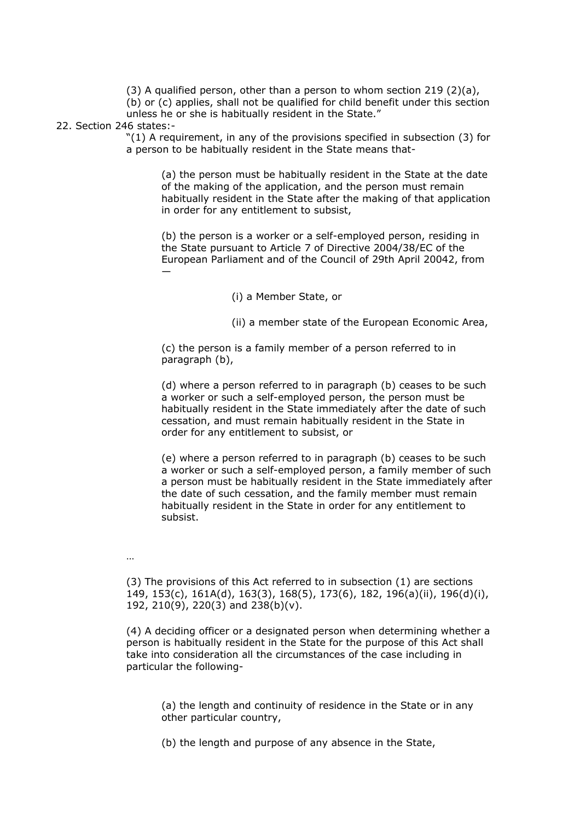$(3)$  A qualified person, other than a person to whom section 219  $(2)(a)$ , (b) or (c) applies, shall not be qualified for child benefit under this section unless he or she is habitually resident in the State."

#### 22. Section 246 states:-

"(1) A requirement, in any of the provisions specified in subsection (3) for a person to be habitually resident in the State means that-

(a) the person must be habitually resident in the State at the date of the making of the application, and the person must remain habitually resident in the State after the making of that application in order for any entitlement to subsist,

(b) the person is a worker or a self-employed person, residing in the State pursuant to Article 7 of Directive 2004/38/EC of the European Parliament and of the Council of 29th April 20042, from —

(i) a Member State, or

(ii) a member state of the European Economic Area,

(c) the person is a family member of a person referred to in paragraph (b),

(d) where a person referred to in paragraph (b) ceases to be such a worker or such a self-employed person, the person must be habitually resident in the State immediately after the date of such cessation, and must remain habitually resident in the State in order for any entitlement to subsist, or

(e) where a person referred to in paragraph (b) ceases to be such a worker or such a self-employed person, a family member of such a person must be habitually resident in the State immediately after the date of such cessation, and the family member must remain habitually resident in the State in order for any entitlement to subsist.

…

(3) The provisions of this Act referred to in subsection (1) are sections 149, 153(c), 161A(d), 163(3), 168(5), 173(6), 182, 196(a)(ii), 196(d)(i), 192, 210(9), 220(3) and 238(b)(v).

(4) A deciding officer or a designated person when determining whether a person is habitually resident in the State for the purpose of this Act shall take into consideration all the circumstances of the case including in particular the following-

(a) the length and continuity of residence in the State or in any other particular country,

(b) the length and purpose of any absence in the State,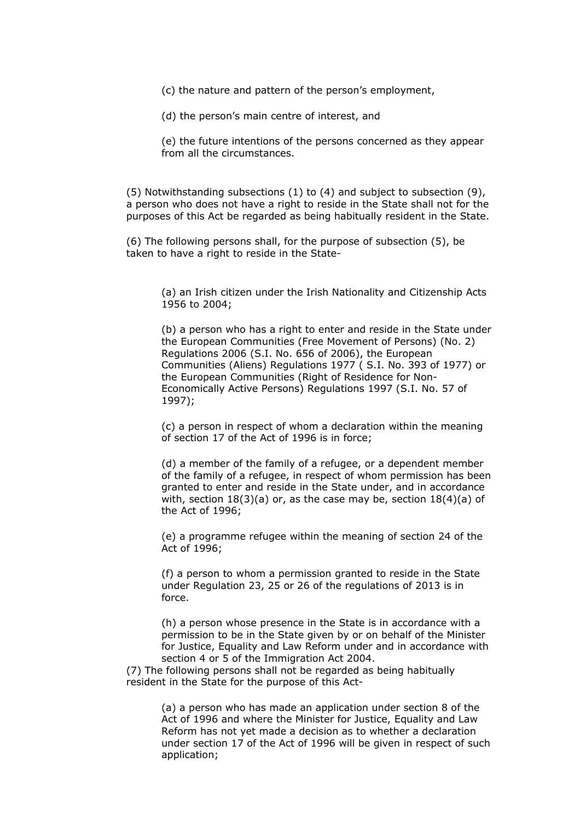(c) the nature and pattern of the person's employment,

(d) the person's main centre of interest, and

(e) the future intentions of the persons concerned as they appear from all the circumstances.

(5) Notwithstanding subsections (1) to (4) and subject to subsection (9), a person who does not have a right to reside in the State shall not for the purposes of this Act be regarded as being habitually resident in the State.

(6) The following persons shall, for the purpose of subsection (5), be taken to have a right to reside in the State-

> (a) an Irish citizen under the Irish Nationality and Citizenship Acts 1956 to 2004;

(b) a person who has a right to enter and reside in the State under the European Communities (Free Movement of Persons) (No. 2) Regulations 2006 (S.I. No. 656 of 2006), the European Communities (Aliens) Regulations 1977 ( S.I. No. 393 of 1977) or the European Communities (Right of Residence for Non-Economically Active Persons) Regulations 1997 (S.I. No. 57 of 1997);

(c) a person in respect of whom a declaration within the meaning of section 17 of the Act of 1996 is in force;

(d) a member of the family of a refugee, or a dependent member of the family of a refugee, in respect of whom permission has been granted to enter and reside in the State under, and in accordance with, section  $18(3)(a)$  or, as the case may be, section  $18(4)(a)$  of the Act of 1996;

(e) a programme refugee within the meaning of section 24 of the Act of 1996;

(f) a person to whom a permission granted to reside in the State under Regulation 23, 25 or 26 of the regulations of 2013 is in force.

(h) a person whose presence in the State is in accordance with a permission to be in the State given by or on behalf of the Minister for Justice, Equality and Law Reform under and in accordance with section 4 or 5 of the Immigration Act 2004.

(7) The following persons shall not be regarded as being habitually resident in the State for the purpose of this Act-

> (a) a person who has made an application under section 8 of the Act of 1996 and where the Minister for Justice, Equality and Law Reform has not yet made a decision as to whether a declaration under section 17 of the Act of 1996 will be given in respect of such application;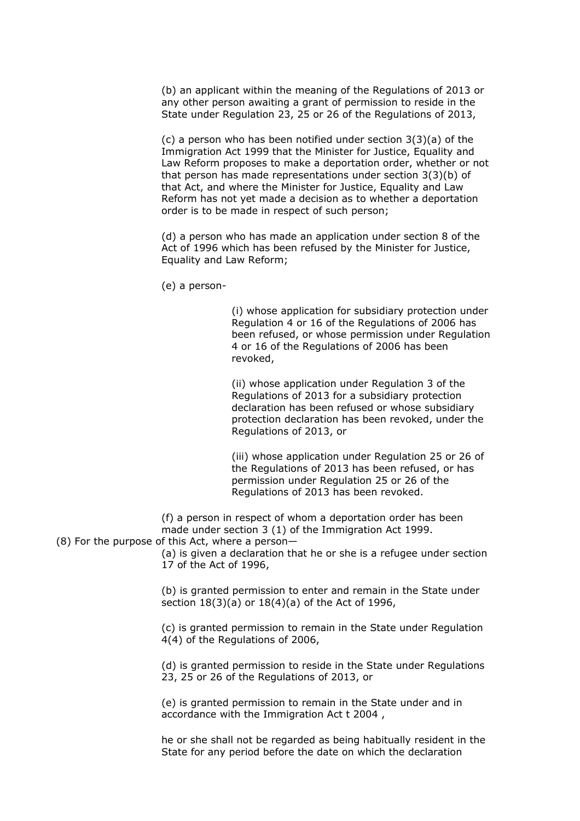(b) an applicant within the meaning of the Regulations of 2013 or any other person awaiting a grant of permission to reside in the State under Regulation 23, 25 or 26 of the Regulations of 2013,

(c) a person who has been notified under section 3(3)(a) of the Immigration Act 1999 that the Minister for Justice, Equality and Law Reform proposes to make a deportation order, whether or not that person has made representations under section 3(3)(b) of that Act, and where the Minister for Justice, Equality and Law Reform has not yet made a decision as to whether a deportation order is to be made in respect of such person;

(d) a person who has made an application under section 8 of the Act of 1996 which has been refused by the Minister for Justice, Equality and Law Reform;

(e) a person-

(i) whose application for subsidiary protection under Regulation 4 or 16 of the Regulations of 2006 has been refused, or whose permission under Regulation 4 or 16 of the Regulations of 2006 has been revoked,

(ii) whose application under Regulation 3 of the Regulations of 2013 for a subsidiary protection declaration has been refused or whose subsidiary protection declaration has been revoked, under the Regulations of 2013, or

(iii) whose application under Regulation 25 or 26 of the Regulations of 2013 has been refused, or has permission under Regulation 25 or 26 of the Regulations of 2013 has been revoked.

(f) a person in respect of whom a deportation order has been made under section 3 (1) of the Immigration Act 1999.

(8) For the purpose of this Act, where a person—

(a) is given a declaration that he or she is a refugee under section 17 of the Act of 1996,

(b) is granted permission to enter and remain in the State under section 18(3)(a) or 18(4)(a) of the Act of 1996,

(c) is granted permission to remain in the State under Regulation 4(4) of the Regulations of 2006,

(d) is granted permission to reside in the State under Regulations 23, 25 or 26 of the Regulations of 2013, or

(e) is granted permission to remain in the State under and in accordance with the Immigration Act t 2004 ,

he or she shall not be regarded as being habitually resident in the State for any period before the date on which the declaration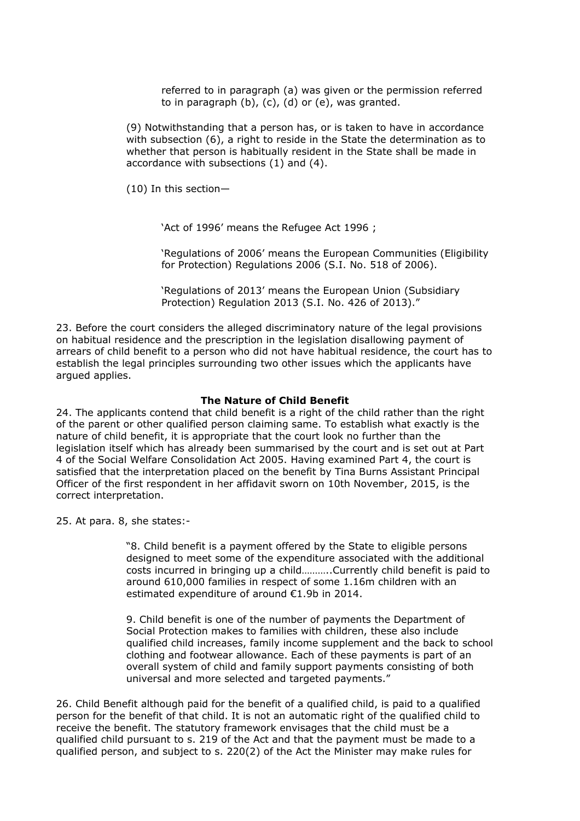referred to in paragraph (a) was given or the permission referred to in paragraph (b), (c), (d) or (e), was granted.

(9) Notwithstanding that a person has, or is taken to have in accordance with subsection (6), a right to reside in the State the determination as to whether that person is habitually resident in the State shall be made in accordance with subsections (1) and (4).

(10) In this section—

'Act of 1996' means the Refugee Act 1996 ;

'Regulations of 2006' means the European Communities (Eligibility for Protection) Regulations 2006 (S.I. No. 518 of 2006).

'Regulations of 2013' means the European Union (Subsidiary Protection) Regulation 2013 (S.I. No. 426 of 2013)."

23. Before the court considers the alleged discriminatory nature of the legal provisions on habitual residence and the prescription in the legislation disallowing payment of arrears of child benefit to a person who did not have habitual residence, the court has to establish the legal principles surrounding two other issues which the applicants have argued applies.

# **The Nature of Child Benefit**

24. The applicants contend that child benefit is a right of the child rather than the right of the parent or other qualified person claiming same. To establish what exactly is the nature of child benefit, it is appropriate that the court look no further than the legislation itself which has already been summarised by the court and is set out at Part 4 of the Social Welfare Consolidation Act 2005. Having examined Part 4, the court is satisfied that the interpretation placed on the benefit by Tina Burns Assistant Principal Officer of the first respondent in her affidavit sworn on 10th November, 2015, is the correct interpretation.

25. At para. 8, she states:-

"8. Child benefit is a payment offered by the State to eligible persons designed to meet some of the expenditure associated with the additional costs incurred in bringing up a child………..Currently child benefit is paid to around 610,000 families in respect of some 1.16m children with an estimated expenditure of around €1.9b in 2014.

9. Child benefit is one of the number of payments the Department of Social Protection makes to families with children, these also include qualified child increases, family income supplement and the back to school clothing and footwear allowance. Each of these payments is part of an overall system of child and family support payments consisting of both universal and more selected and targeted payments."

26. Child Benefit although paid for the benefit of a qualified child, is paid to a qualified person for the benefit of that child. It is not an automatic right of the qualified child to receive the benefit. The statutory framework envisages that the child must be a qualified child pursuant to s. 219 of the Act and that the payment must be made to a qualified person, and subject to s. 220(2) of the Act the Minister may make rules for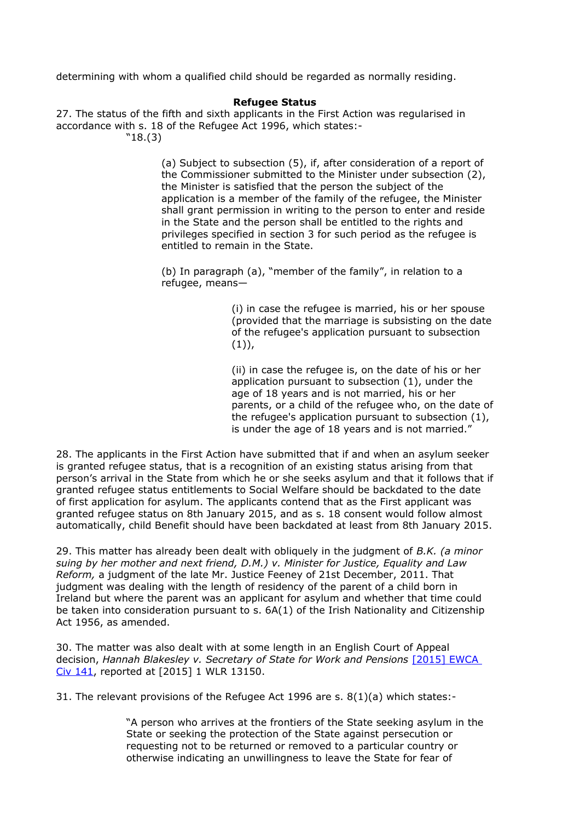determining with whom a qualified child should be regarded as normally residing.

### **Refugee Status**

27. The status of the fifth and sixth applicants in the First Action was regularised in accordance with s. 18 of the Refugee Act 1996, which states:- "18.(3)

> (a) Subject to subsection (5), if, after consideration of a report of the Commissioner submitted to the Minister under subsection (2), the Minister is satisfied that the person the subject of the application is a member of the family of the refugee, the Minister shall grant permission in writing to the person to enter and reside in the State and the person shall be entitled to the rights and privileges specified in section 3 for such period as the refugee is entitled to remain in the State.

(b) In paragraph (a), "member of the family", in relation to a refugee, means—

> (i) in case the refugee is married, his or her spouse (provided that the marriage is subsisting on the date of the refugee's application pursuant to subsection  $(1)$ ,

> (ii) in case the refugee is, on the date of his or her application pursuant to subsection (1), under the age of 18 years and is not married, his or her parents, or a child of the refugee who, on the date of the refugee's application pursuant to subsection (1), is under the age of 18 years and is not married."

28. The applicants in the First Action have submitted that if and when an asylum seeker is granted refugee status, that is a recognition of an existing status arising from that person's arrival in the State from which he or she seeks asylum and that it follows that if granted refugee status entitlements to Social Welfare should be backdated to the date of first application for asylum. The applicants contend that as the First applicant was granted refugee status on 8th January 2015, and as s. 18 consent would follow almost automatically, child Benefit should have been backdated at least from 8th January 2015.

29. This matter has already been dealt with obliquely in the judgment of *B.K. (a minor suing by her mother and next friend, D.M.) v. Minister for Justice, Equality and Law Reform,* a judgment of the late Mr. Justice Feeney of 21st December, 2011. That judgment was dealing with the length of residency of the parent of a child born in Ireland but where the parent was an applicant for asylum and whether that time could be taken into consideration pursuant to s. 6A(1) of the Irish Nationality and Citizenship Act 1956, as amended.

30. The matter was also dealt with at some length in an English Court of Appeal decision, *Hannah Blakesley v. Secretary of State for Work and Pensions* [\[2015\] EWCA](http://www.bailii.org/ew/cases/EWCA/Civ/2015/141.html)  [Civ 141,](http://www.bailii.org/ew/cases/EWCA/Civ/2015/141.html) reported at [2015] 1 WLR 13150.

31. The relevant provisions of the Refugee Act 1996 are s. 8(1)(a) which states:-

"A person who arrives at the frontiers of the State seeking asylum in the State or seeking the protection of the State against persecution or requesting not to be returned or removed to a particular country or otherwise indicating an unwillingness to leave the State for fear of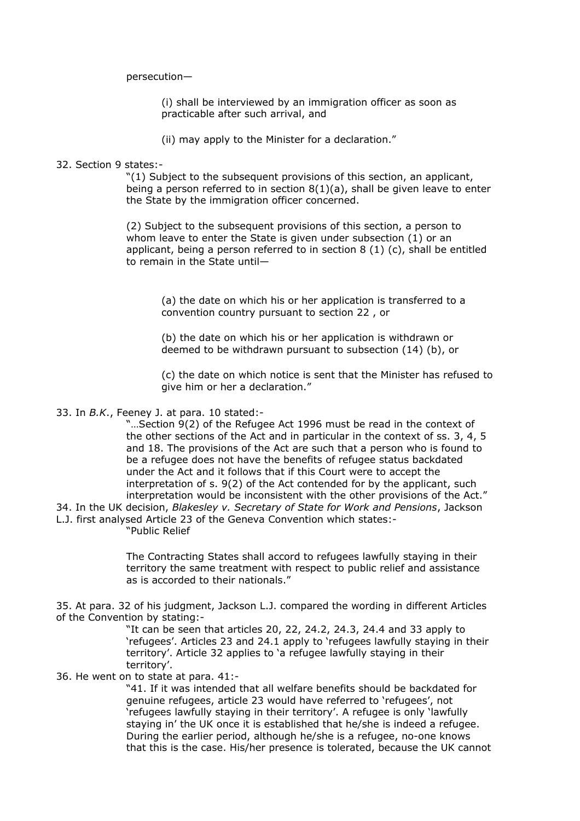persecution—

(i) shall be interviewed by an immigration officer as soon as practicable after such arrival, and

(ii) may apply to the Minister for a declaration."

### 32. Section 9 states:-

"(1) Subject to the subsequent provisions of this section, an applicant, being a person referred to in section  $8(1)(a)$ , shall be given leave to enter the State by the immigration officer concerned.

(2) Subject to the subsequent provisions of this section, a person to whom leave to enter the State is given under subsection (1) or an applicant, being a person referred to in section 8 (1) (c), shall be entitled to remain in the State until—

(a) the date on which his or her application is transferred to a convention country pursuant to section 22 , or

(b) the date on which his or her application is withdrawn or deemed to be withdrawn pursuant to subsection (14) (b), or

(c) the date on which notice is sent that the Minister has refused to give him or her a declaration."

#### 33. In *B.K*., Feeney J. at para. 10 stated:-

"…Section 9(2) of the Refugee Act 1996 must be read in the context of the other sections of the Act and in particular in the context of ss. 3, 4, 5 and 18. The provisions of the Act are such that a person who is found to be a refugee does not have the benefits of refugee status backdated under the Act and it follows that if this Court were to accept the interpretation of s. 9(2) of the Act contended for by the applicant, such interpretation would be inconsistent with the other provisions of the Act."

34. In the UK decision, *Blakesley v. Secretary of State for Work and Pensions*, Jackson

L.J. first analysed Article 23 of the Geneva Convention which states:-

"Public Relief

The Contracting States shall accord to refugees lawfully staying in their territory the same treatment with respect to public relief and assistance as is accorded to their nationals."

35. At para. 32 of his judgment, Jackson L.J. compared the wording in different Articles of the Convention by stating:-

> "It can be seen that articles 20, 22, 24.2, 24.3, 24.4 and 33 apply to 'refugees'. Articles 23 and 24.1 apply to 'refugees lawfully staying in their territory'. Article 32 applies to 'a refugee lawfully staying in their territory'.

# 36. He went on to state at para. 41:-

"41. If it was intended that all welfare benefits should be backdated for genuine refugees, article 23 would have referred to 'refugees', not 'refugees lawfully staying in their territory'. A refugee is only 'lawfully staying in' the UK once it is established that he/she is indeed a refugee. During the earlier period, although he/she is a refugee, no-one knows that this is the case. His/her presence is tolerated, because the UK cannot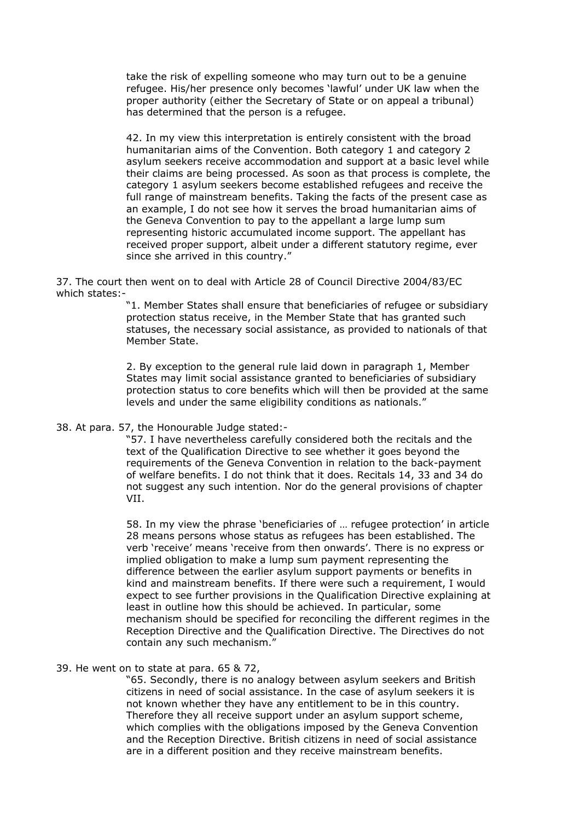take the risk of expelling someone who may turn out to be a genuine refugee. His/her presence only becomes 'lawful' under UK law when the proper authority (either the Secretary of State or on appeal a tribunal) has determined that the person is a refugee.

42. In my view this interpretation is entirely consistent with the broad humanitarian aims of the Convention. Both category 1 and category 2 asylum seekers receive accommodation and support at a basic level while their claims are being processed. As soon as that process is complete, the category 1 asylum seekers become established refugees and receive the full range of mainstream benefits. Taking the facts of the present case as an example, I do not see how it serves the broad humanitarian aims of the Geneva Convention to pay to the appellant a large lump sum representing historic accumulated income support. The appellant has received proper support, albeit under a different statutory regime, ever since she arrived in this country."

37. The court then went on to deal with Article 28 of Council Directive 2004/83/EC which states:-

> "1. Member States shall ensure that beneficiaries of refugee or subsidiary protection status receive, in the Member State that has granted such statuses, the necessary social assistance, as provided to nationals of that Member State.

> 2. By exception to the general rule laid down in paragraph 1, Member States may limit social assistance granted to beneficiaries of subsidiary protection status to core benefits which will then be provided at the same levels and under the same eligibility conditions as nationals."

# 38. At para. 57, the Honourable Judge stated:-

"57. I have nevertheless carefully considered both the recitals and the text of the Qualification Directive to see whether it goes beyond the requirements of the Geneva Convention in relation to the back-payment of welfare benefits. I do not think that it does. Recitals 14, 33 and 34 do not suggest any such intention. Nor do the general provisions of chapter VII.

58. In my view the phrase 'beneficiaries of … refugee protection' in article 28 means persons whose status as refugees has been established. The verb 'receive' means 'receive from then onwards'. There is no express or implied obligation to make a lump sum payment representing the difference between the earlier asylum support payments or benefits in kind and mainstream benefits. If there were such a requirement, I would expect to see further provisions in the Qualification Directive explaining at least in outline how this should be achieved. In particular, some mechanism should be specified for reconciling the different regimes in the Reception Directive and the Qualification Directive. The Directives do not contain any such mechanism."

### 39. He went on to state at para. 65 & 72,

"65. Secondly, there is no analogy between asylum seekers and British citizens in need of social assistance. In the case of asylum seekers it is not known whether they have any entitlement to be in this country. Therefore they all receive support under an asylum support scheme, which complies with the obligations imposed by the Geneva Convention and the Reception Directive. British citizens in need of social assistance are in a different position and they receive mainstream benefits.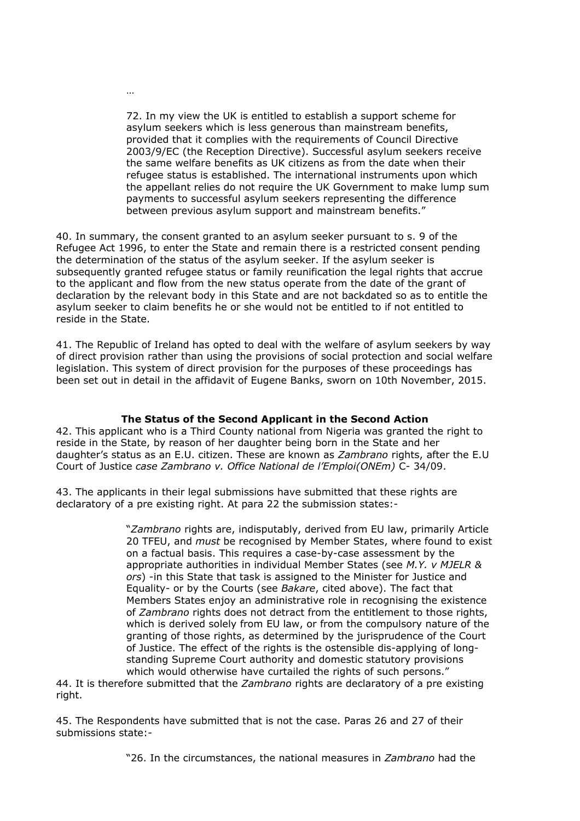72. In my view the UK is entitled to establish a support scheme for asylum seekers which is less generous than mainstream benefits, provided that it complies with the requirements of Council Directive 2003/9/EC (the Reception Directive). Successful asylum seekers receive the same welfare benefits as UK citizens as from the date when their refugee status is established. The international instruments upon which the appellant relies do not require the UK Government to make lump sum payments to successful asylum seekers representing the difference between previous asylum support and mainstream benefits."

40. In summary, the consent granted to an asylum seeker pursuant to s. 9 of the Refugee Act 1996, to enter the State and remain there is a restricted consent pending the determination of the status of the asylum seeker. If the asylum seeker is subsequently granted refugee status or family reunification the legal rights that accrue to the applicant and flow from the new status operate from the date of the grant of declaration by the relevant body in this State and are not backdated so as to entitle the asylum seeker to claim benefits he or she would not be entitled to if not entitled to reside in the State.

41. The Republic of Ireland has opted to deal with the welfare of asylum seekers by way of direct provision rather than using the provisions of social protection and social welfare legislation. This system of direct provision for the purposes of these proceedings has been set out in detail in the affidavit of Eugene Banks, sworn on 10th November, 2015.

# **The Status of the Second Applicant in the Second Action**

42. This applicant who is a Third County national from Nigeria was granted the right to reside in the State, by reason of her daughter being born in the State and her daughter's status as an E.U. citizen. These are known as *Zambrano* rights, after the E.U Court of Justice *case Zambrano v. Office National de l'Emploi(ONEm)* C- 34/09.

43. The applicants in their legal submissions have submitted that these rights are declaratory of a pre existing right. At para 22 the submission states:-

> "*Zambrano* rights are, indisputably, derived from EU law, primarily Article 20 TFEU, and *must* be recognised by Member States, where found to exist on a factual basis. This requires a case-by-case assessment by the appropriate authorities in individual Member States (see *M.Y. v MJELR & ors*) -in this State that task is assigned to the Minister for Justice and Equality- or by the Courts (see *Bakare*, cited above). The fact that Members States enjoy an administrative role in recognising the existence of *Zambrano* rights does not detract from the entitlement to those rights, which is derived solely from EU law, or from the compulsory nature of the granting of those rights, as determined by the jurisprudence of the Court of Justice. The effect of the rights is the ostensible dis-applying of longstanding Supreme Court authority and domestic statutory provisions which would otherwise have curtailed the rights of such persons."

44. It is therefore submitted that the *Zambrano* rights are declaratory of a pre existing right.

45. The Respondents have submitted that is not the case. Paras 26 and 27 of their submissions state:-

"26. In the circumstances, the national measures in *Zambrano* had the

…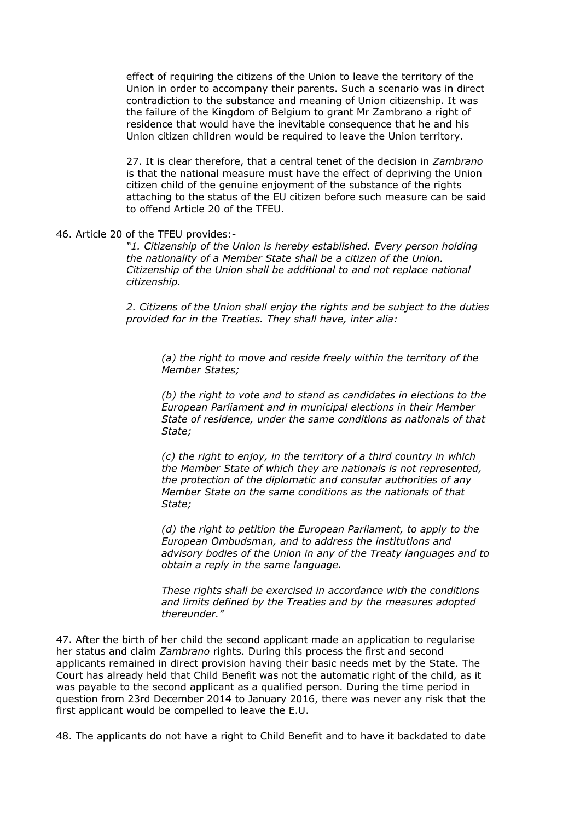effect of requiring the citizens of the Union to leave the territory of the Union in order to accompany their parents. Such a scenario was in direct contradiction to the substance and meaning of Union citizenship. It was the failure of the Kingdom of Belgium to grant Mr Zambrano a right of residence that would have the inevitable consequence that he and his Union citizen children would be required to leave the Union territory.

27. It is clear therefore, that a central tenet of the decision in *Zambrano* is that the national measure must have the effect of depriving the Union citizen child of the genuine enjoyment of the substance of the rights attaching to the status of the EU citizen before such measure can be said to offend Article 20 of the TFEU.

## 46. Article 20 of the TFEU provides:-

*"1. Citizenship of the Union is hereby established. Every person holding the nationality of a Member State shall be a citizen of the Union. Citizenship of the Union shall be additional to and not replace national citizenship.*

*2. Citizens of the Union shall enjoy the rights and be subject to the duties provided for in the Treaties. They shall have, inter alia:*

*(a) the right to move and reside freely within the territory of the Member States;*

*(b) the right to vote and to stand as candidates in elections to the European Parliament and in municipal elections in their Member State of residence, under the same conditions as nationals of that State;*

*(c) the right to enjoy, in the territory of a third country in which the Member State of which they are nationals is not represented, the protection of the diplomatic and consular authorities of any Member State on the same conditions as the nationals of that State;*

*(d) the right to petition the European Parliament, to apply to the European Ombudsman, and to address the institutions and advisory bodies of the Union in any of the Treaty languages and to obtain a reply in the same language.*

*These rights shall be exercised in accordance with the conditions and limits defined by the Treaties and by the measures adopted thereunder."*

47. After the birth of her child the second applicant made an application to regularise her status and claim *Zambrano* rights. During this process the first and second applicants remained in direct provision having their basic needs met by the State. The Court has already held that Child Benefit was not the automatic right of the child, as it was payable to the second applicant as a qualified person. During the time period in question from 23rd December 2014 to January 2016, there was never any risk that the first applicant would be compelled to leave the E.U.

48. The applicants do not have a right to Child Benefit and to have it backdated to date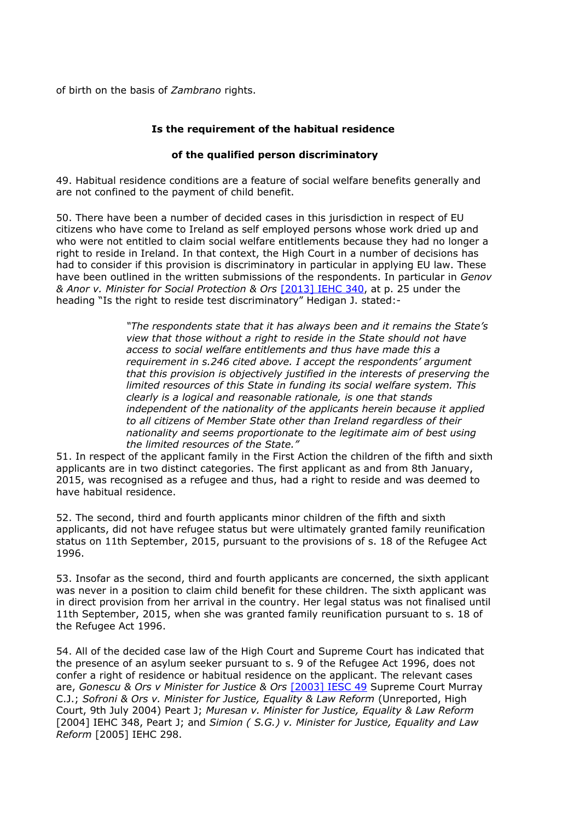of birth on the basis of *Zambrano* rights.

# **Is the requirement of the habitual residence**

# **of the qualified person discriminatory**

49. Habitual residence conditions are a feature of social welfare benefits generally and are not confined to the payment of child benefit.

50. There have been a number of decided cases in this jurisdiction in respect of EU citizens who have come to Ireland as self employed persons whose work dried up and who were not entitled to claim social welfare entitlements because they had no longer a right to reside in Ireland. In that context, the High Court in a number of decisions has had to consider if this provision is discriminatory in particular in applying EU law. These have been outlined in the written submissions of the respondents. In particular in *Genov & Anor v. Minister for Social Protection & Ors* [\[2013\] IEHC 340,](http://www.bailii.org/ie/cases/IEHC/2013/H340.html) at p. 25 under the heading "Is the right to reside test discriminatory" Hedigan J. stated:-

> *"The respondents state that it has always been and it remains the State's view that those without a right to reside in the State should not have access to social welfare entitlements and thus have made this a requirement in s.246 cited above. I accept the respondents' argument that this provision is objectively justified in the interests of preserving the limited resources of this State in funding its social welfare system. This clearly is a logical and reasonable rationale, is one that stands independent of the nationality of the applicants herein because it applied to all citizens of Member State other than Ireland regardless of their nationality and seems proportionate to the legitimate aim of best using the limited resources of the State."*

51. In respect of the applicant family in the First Action the children of the fifth and sixth applicants are in two distinct categories. The first applicant as and from 8th January, 2015, was recognised as a refugee and thus, had a right to reside and was deemed to have habitual residence.

52. The second, third and fourth applicants minor children of the fifth and sixth applicants, did not have refugee status but were ultimately granted family reunification status on 11th September, 2015, pursuant to the provisions of s. 18 of the Refugee Act 1996.

53. Insofar as the second, third and fourth applicants are concerned, the sixth applicant was never in a position to claim child benefit for these children. The sixth applicant was in direct provision from her arrival in the country. Her legal status was not finalised until 11th September, 2015, when she was granted family reunification pursuant to s. 18 of the Refugee Act 1996.

54. All of the decided case law of the High Court and Supreme Court has indicated that the presence of an asylum seeker pursuant to s. 9 of the Refugee Act 1996, does not confer a right of residence or habitual residence on the applicant. The relevant cases are, *Gonescu & Ors v Minister for Justice & Ors* [\[2003\] IESC 49](http://www.bailii.org/ie/cases/IESC/2003/49.html) Supreme Court Murray C.J.; *Sofroni & Ors v. Minister for Justice, Equality & Law Reform* (Unreported, High Court, 9th July 2004) Peart J; *Muresan v. Minister for Justice, Equality & Law Reform* [2004] IEHC 348, Peart J; and *Simion ( S.G.) v. Minister for Justice, Equality and Law Reform* [2005] IEHC 298.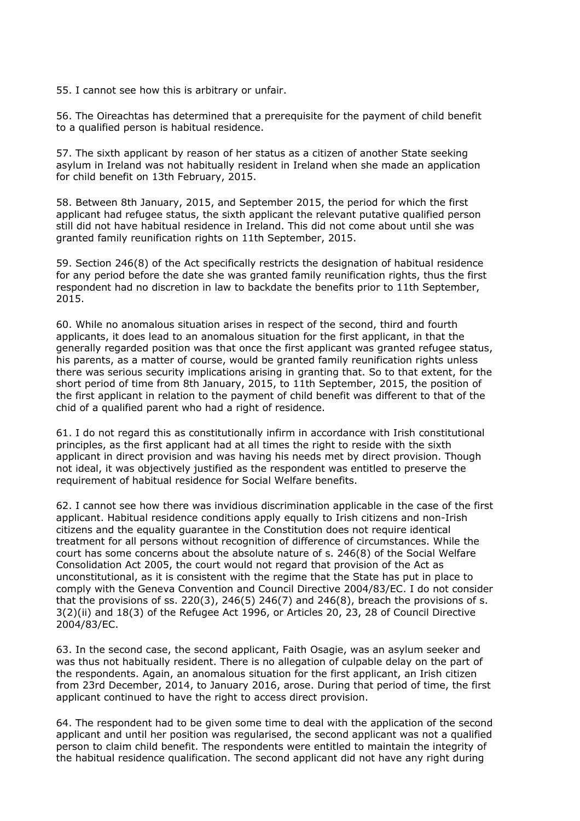55. I cannot see how this is arbitrary or unfair.

56. The Oireachtas has determined that a prerequisite for the payment of child benefit to a qualified person is habitual residence.

57. The sixth applicant by reason of her status as a citizen of another State seeking asylum in Ireland was not habitually resident in Ireland when she made an application for child benefit on 13th February, 2015.

58. Between 8th January, 2015, and September 2015, the period for which the first applicant had refugee status, the sixth applicant the relevant putative qualified person still did not have habitual residence in Ireland. This did not come about until she was granted family reunification rights on 11th September, 2015.

59. Section 246(8) of the Act specifically restricts the designation of habitual residence for any period before the date she was granted family reunification rights, thus the first respondent had no discretion in law to backdate the benefits prior to 11th September, 2015.

60. While no anomalous situation arises in respect of the second, third and fourth applicants, it does lead to an anomalous situation for the first applicant, in that the generally regarded position was that once the first applicant was granted refugee status, his parents, as a matter of course, would be granted family reunification rights unless there was serious security implications arising in granting that. So to that extent, for the short period of time from 8th January, 2015, to 11th September, 2015, the position of the first applicant in relation to the payment of child benefit was different to that of the chid of a qualified parent who had a right of residence.

61. I do not regard this as constitutionally infirm in accordance with Irish constitutional principles, as the first applicant had at all times the right to reside with the sixth applicant in direct provision and was having his needs met by direct provision. Though not ideal, it was objectively justified as the respondent was entitled to preserve the requirement of habitual residence for Social Welfare benefits.

62. I cannot see how there was invidious discrimination applicable in the case of the first applicant. Habitual residence conditions apply equally to Irish citizens and non-Irish citizens and the equality guarantee in the Constitution does not require identical treatment for all persons without recognition of difference of circumstances. While the court has some concerns about the absolute nature of s. 246(8) of the Social Welfare Consolidation Act 2005, the court would not regard that provision of the Act as unconstitutional, as it is consistent with the regime that the State has put in place to comply with the Geneva Convention and Council Directive 2004/83/EC. I do not consider that the provisions of ss. 220(3), 246(5) 246(7) and 246(8), breach the provisions of s. 3(2)(ii) and 18(3) of the Refugee Act 1996, or Articles 20, 23, 28 of Council Directive 2004/83/EC.

63. In the second case, the second applicant, Faith Osagie, was an asylum seeker and was thus not habitually resident. There is no allegation of culpable delay on the part of the respondents. Again, an anomalous situation for the first applicant, an Irish citizen from 23rd December, 2014, to January 2016, arose. During that period of time, the first applicant continued to have the right to access direct provision.

64. The respondent had to be given some time to deal with the application of the second applicant and until her position was regularised, the second applicant was not a qualified person to claim child benefit. The respondents were entitled to maintain the integrity of the habitual residence qualification. The second applicant did not have any right during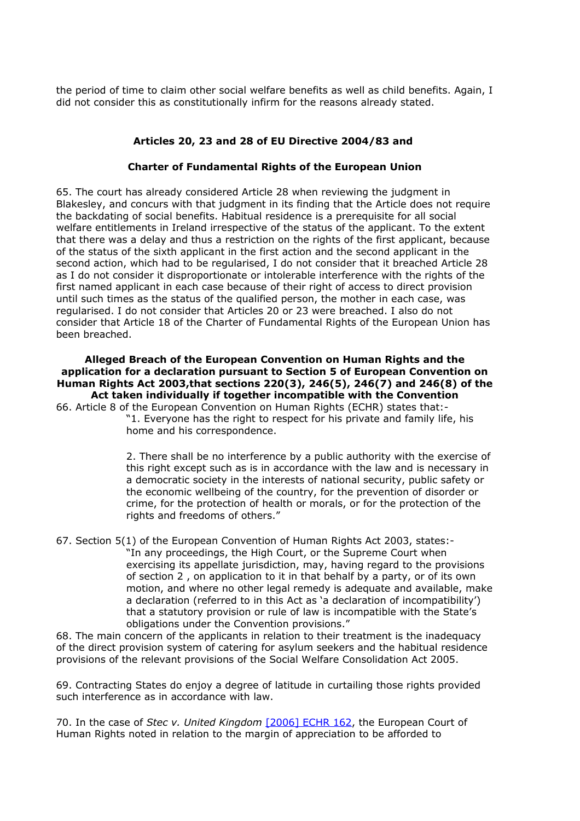the period of time to claim other social welfare benefits as well as child benefits. Again, I did not consider this as constitutionally infirm for the reasons already stated.

# **Articles 20, 23 and 28 of EU Directive 2004/83 and**

# **Charter of Fundamental Rights of the European Union**

65. The court has already considered Article 28 when reviewing the judgment in Blakesley, and concurs with that judgment in its finding that the Article does not require the backdating of social benefits. Habitual residence is a prerequisite for all social welfare entitlements in Ireland irrespective of the status of the applicant. To the extent that there was a delay and thus a restriction on the rights of the first applicant, because of the status of the sixth applicant in the first action and the second applicant in the second action, which had to be regularised, I do not consider that it breached Article 28 as I do not consider it disproportionate or intolerable interference with the rights of the first named applicant in each case because of their right of access to direct provision until such times as the status of the qualified person, the mother in each case, was regularised. I do not consider that Articles 20 or 23 were breached. I also do not consider that Article 18 of the Charter of Fundamental Rights of the European Union has been breached.

### **Alleged Breach of the European Convention on Human Rights and the application for a declaration pursuant to Section 5 of European Convention on Human Rights Act 2003,that sections 220(3), 246(5), 246(7) and 246(8) of the Act taken individually if together incompatible with the Convention**

66. Article 8 of the European Convention on Human Rights (ECHR) states that:- "1. Everyone has the right to respect for his private and family life, his home and his correspondence.

> 2. There shall be no interference by a public authority with the exercise of this right except such as is in accordance with the law and is necessary in a democratic society in the interests of national security, public safety or the economic wellbeing of the country, for the prevention of disorder or crime, for the protection of health or morals, or for the protection of the rights and freedoms of others."

67. Section 5(1) of the European Convention of Human Rights Act 2003, states:- "In any proceedings, the High Court, or the Supreme Court when exercising its appellate jurisdiction, may, having regard to the provisions of section 2 , on application to it in that behalf by a party, or of its own motion, and where no other legal remedy is adequate and available, make a declaration (referred to in this Act as 'a declaration of incompatibility') that a statutory provision or rule of law is incompatible with the State's obligations under the Convention provisions."

68. The main concern of the applicants in relation to their treatment is the inadequacy of the direct provision system of catering for asylum seekers and the habitual residence provisions of the relevant provisions of the Social Welfare Consolidation Act 2005.

69. Contracting States do enjoy a degree of latitude in curtailing those rights provided such interference as in accordance with law.

70. In the case of *Stec v. United Kingdom* [\[2006\] ECHR 162,](http://www.bailii.org/eu/cases/ECHR/2006/162.html) the European Court of Human Rights noted in relation to the margin of appreciation to be afforded to